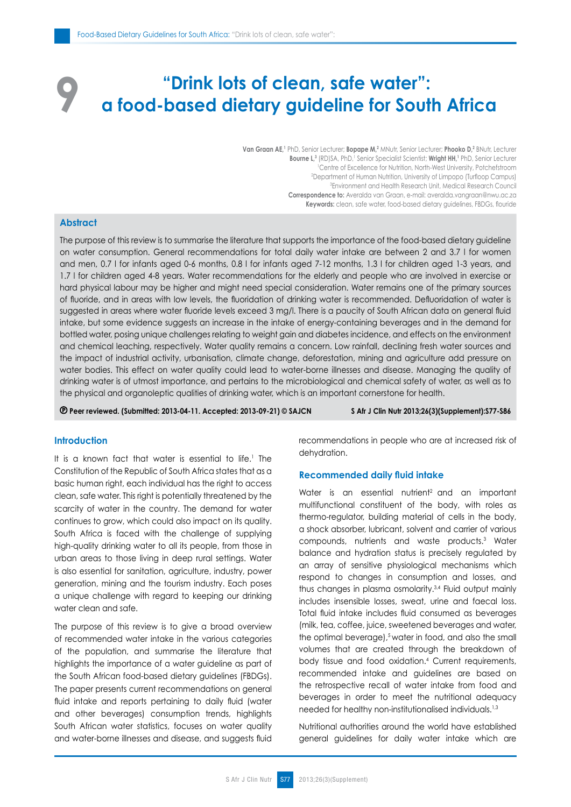# **"Drink lots of clean, safe water": a food-based dietary guideline for South Africa**

**Van Graan AE,<sup>1</sup>** PhD, Senior Lecturer; **Bopape M,<sup>2</sup>** MNutr, Senior Lecturer; **Phooko D,<sup>2</sup>** BNutr, Lecturer **Bourne L,**<sup>3</sup> (RD)SA, PhD,<sup>1</sup> Senior Specialist Scientist; **Wright HH,<sup>1</sup> PhD**, Senior Lecturer 1 Centre of Excellence for Nutrition, North-West University, Potchefstroom 2 Department of Human Nutrition, University of Limpopo (Turfloop Campus) 3 Environment and Health Research Unit, Medical Research Council **Correspondence to:** Averalda van Graan, e-mail: averalda.vangraan@nwu.ac.za **Keywords:** clean, safe water, food-based dietary guidelines, FBDGs, flouride

# **Abstract**

**9**

The purpose of this review is to summarise the literature that supports the importance of the food-based dietary guideline on water consumption. General recommendations for total daily water intake are between 2 and 3.7 l for women and men, 0.7 l for infants aged 0-6 months, 0.8 l for infants aged 7-12 months, 1.3 l for children aged 1-3 years, and 1.7 l for children aged 4-8 years. Water recommendations for the elderly and people who are involved in exercise or hard physical labour may be higher and might need special consideration. Water remains one of the primary sources of fluoride, and in areas with low levels, the fluoridation of drinking water is recommended. Defluoridation of water is suggested in areas where water fluoride levels exceed 3 mg/l. There is a paucity of South African data on general fluid intake, but some evidence suggests an increase in the intake of energy-containing beverages and in the demand for bottled water, posing unique challenges relating to weight gain and diabetes incidence, and effects on the environment and chemical leaching, respectively. Water quality remains a concern. Low rainfall, declining fresh water sources and the impact of industrial activity, urbanisation, climate change, deforestation, mining and agriculture add pressure on water bodies. This effect on water quality could lead to water-borne illnesses and disease. Managing the quality of drinking water is of utmost importance, and pertains to the microbiological and chemical safety of water, as well as to the physical and organoleptic qualities of drinking water, which is an important cornerstone for health.

 **Peer reviewed. (Submitted: 2013-04-11. Accepted: 2013-09-21) © SAJCN S Afr J Clin Nutr 2013;26(3)(Supplement):S77-S86**

# **Introduction**

It is a known fact that water is essential to life.<sup>1</sup> The Constitution of the Republic of South Africa states that as a basic human right, each individual has the right to access clean, safe water. This right is potentially threatened by the scarcity of water in the country. The demand for water continues to grow, which could also impact on its quality. South Africa is faced with the challenge of supplying high-quality drinking water to all its people, from those in urban areas to those living in deep rural settings. Water is also essential for sanitation, agriculture, industry, power generation, mining and the tourism industry. Each poses a unique challenge with regard to keeping our drinking water clean and safe.

The purpose of this review is to give a broad overview of recommended water intake in the various categories of the population, and summarise the literature that highlights the importance of a water guideline as part of the South African food-based dietary guidelines (FBDGs). The paper presents current recommendations on general fluid intake and reports pertaining to daily fluid (water and other beverages) consumption trends, highlights South African water statistics, focuses on water quality and water-borne illnesses and disease, and suggests fluid recommendations in people who are at increased risk of dehydration.

## **Recommended daily fluid intake**

Water is an essential nutrient<sup>2</sup> and an important multifunctional constituent of the body, with roles as thermo-regulator, building material of cells in the body, a shock absorber, lubricant, solvent and carrier of various compounds, nutrients and waste products.3 Water balance and hydration status is precisely regulated by an array of sensitive physiological mechanisms which respond to changes in consumption and losses, and thus changes in plasma osmolarity.3,4 Fluid output mainly includes insensible losses, sweat, urine and faecal loss. Total fluid intake includes fluid consumed as beverages (milk, tea, coffee, juice, sweetened beverages and water, the optimal beverage),<sup>5</sup> water in food, and also the small volumes that are created through the breakdown of body tissue and food oxidation.4 Current requirements, recommended intake and guidelines are based on the retrospective recall of water intake from food and beverages in order to meet the nutritional adequacy needed for healthy non-institutionalised individuals.1,3

Nutritional authorities around the world have established general guidelines for daily water intake which are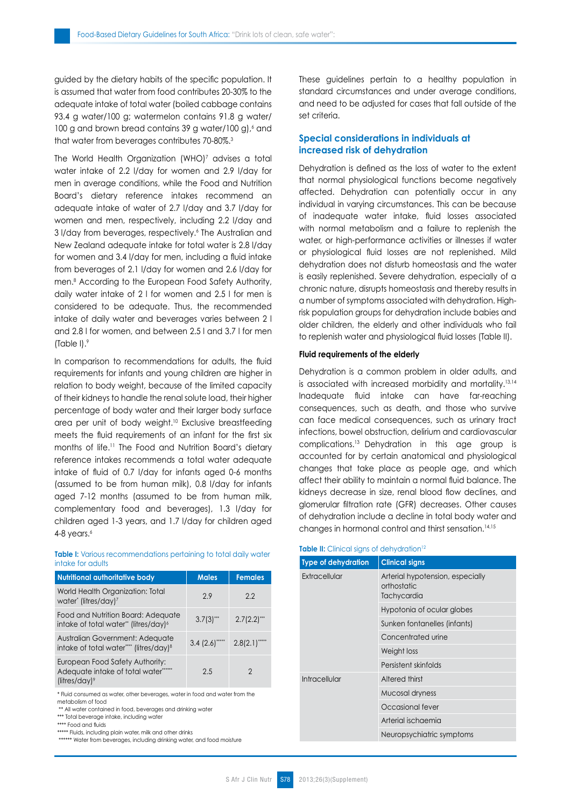guided by the dietary habits of the specific population. It is assumed that water from food contributes 20-30% to the adequate intake of total water (boiled cabbage contains 93.4 g water/100 g; watermelon contains 91.8 g water/ 100 g and brown bread contains 39 g water/100 g),  $\delta$  and that water from beverages contributes 70-80%.3

The World Health Organization (WHO)7 advises a total water intake of 2.2 l/day for women and 2.9 l/day for men in average conditions, while the Food and Nutrition Board's dietary reference intakes recommend an adequate intake of water of 2.7 l/day and 3.7 l/day for women and men, respectively, including 2.2 l/day and 3 l/day from beverages, respectively.<sup>6</sup> The Australian and New Zealand adequate intake for total water is 2.8 l/day for women and 3.4 l/day for men, including a fluid intake from beverages of 2.1 l/day for women and 2.6 l/day for men.8 According to the European Food Safety Authority, daily water intake of 2 l for women and 2.5 l for men is considered to be adequate. Thus, the recommended intake of daily water and beverages varies between 2 l and 2.8 l for women, and between 2.5 l and 3.7 l for men (Table I).9

In comparison to recommendations for adults, the fluid requirements for infants and young children are higher in relation to body weight, because of the limited capacity of their kidneys to handle the renal solute load, their higher percentage of body water and their larger body surface area per unit of body weight.<sup>10</sup> Exclusive breastfeeding meets the fluid requirements of an infant for the first six months of life.11 The Food and Nutrition Board's dietary reference intakes recommends a total water adequate intake of fluid of 0.7 l/day for infants aged 0-6 months (assumed to be from human milk), 0.8 l/day for infants aged 7-12 months (assumed to be from human milk, complementary food and beverages), 1.3 l/day for children aged 1-3 years, and 1.7 l/day for children aged 4-8 years. $6$ 

#### **Table I:** Various recommendations pertaining to total daily water intake for adults

| <b>Nutritional authoritative body</b>                                                           | <b>Males</b> | <b>Females</b> |
|-------------------------------------------------------------------------------------------------|--------------|----------------|
| World Health Organization: Total<br>water* (litres/day) <sup>7</sup>                            | 2.9          | 2.2            |
| Food and Nutrition Board: Adequate<br>intake of total water" (litres/day) <sup>6</sup>          | 3.7(3)       | 2.7(2.2)       |
| Australian Government: Adequate<br>intake of total water""" (litres/day) <sup>8</sup>           | 3.4(2.6)     | $2.8(2.1)$ """ |
| European Food Safety Authority:<br>Adequate intake of total water"<br>(litres/day) <sup>9</sup> | 2.5          | 2              |

\* Fluid consumed as water, other beverages, water in food and water from the metabolism of food

\*\* All water contained in food, beverages and drinking water

\*\*\* Total beverage intake, including water

\*\*\*\* Food and fluids

\*\*\*\*\* Fluids, including plain water, milk and other drinks

\*\*\*\*\*\* Water from beverages, including drinking water, and food moisture

These guidelines pertain to a healthy population in standard circumstances and under average conditions, and need to be adjusted for cases that fall outside of the set criteria.

# **Special considerations in individuals at increased risk of dehydration**

Dehydration is defined as the loss of water to the extent that normal physiological functions become negatively affected. Dehydration can potentially occur in any individual in varying circumstances. This can be because of inadequate water intake, fluid losses associated with normal metabolism and a failure to replenish the water, or high-performance activities or illnesses if water or physiological fluid losses are not replenished. Mild dehydration does not disturb homeostasis and the water is easily replenished. Severe dehydration, especially of a chronic nature, disrupts homeostasis and thereby results in a number of symptoms associated with dehydration. Highrisk population groups for dehydration include babies and older children, the elderly and other individuals who fail to replenish water and physiological fluid losses (Table II).

## **Fluid requirements of the elderly**

Dehydration is a common problem in older adults, and is associated with increased morbidity and mortality.13,14 Inadequate fluid intake can have far-reaching consequences, such as death, and those who survive can face medical consequences, such as urinary tract infections, bowel obstruction, delirium and cardiovascular complications.13 Dehydration in this age group is accounted for by certain anatomical and physiological changes that take place as people age, and which affect their ability to maintain a normal fluid balance. The kidneys decrease in size, renal blood flow declines, and glomerular filtration rate (GFR) decreases. Other causes of dehydration include a decline in total body water and changes in hormonal control and thirst sensation.14,15

#### **Table II:** Clinical signs of dehydration<sup>12</sup>

| <b>Type of dehydration</b> | <b>Clinical signs</b>                                          |
|----------------------------|----------------------------------------------------------------|
| Extracellular              | Arterial hypotension, especially<br>orthostatic<br>Tachycardia |
|                            | Hypotonia of ocular globes                                     |
|                            | Sunken fontanelles (infants)                                   |
|                            | Concentrated urine                                             |
|                            | Weight loss                                                    |
|                            | Persistent skinfolds                                           |
| Intracellular              | Altered thirst                                                 |
|                            | Mucosal dryness                                                |
|                            | Occasional fever                                               |
|                            | Arterial ischaemia                                             |
|                            | Neuropsychiatric symptoms                                      |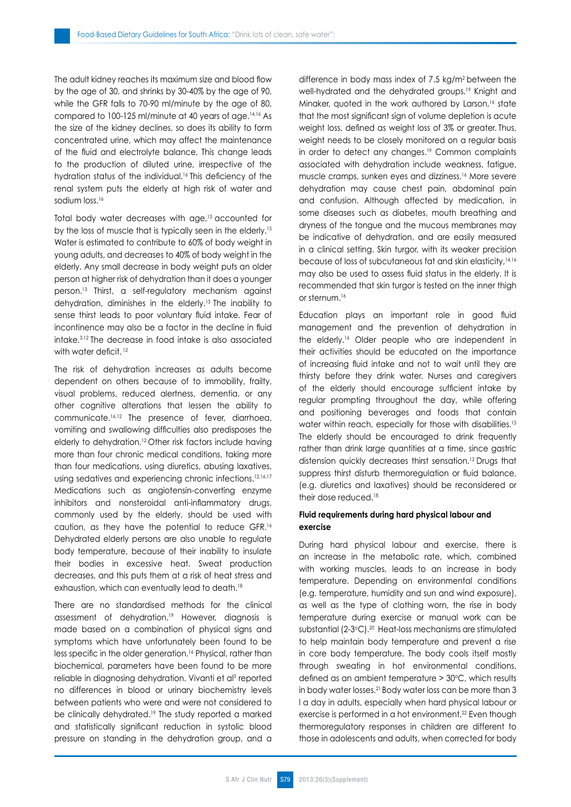The adult kidney reaches its maximum size and blood flow by the age of 30, and shrinks by 30-40% by the age of 90, while the GFR falls to 70-90 ml/minute by the age of 80, compared to 100-125 ml/minute at 40 years of age.14,16 As the size of the kidney declines, so does its ability to form concentrated urine, which may affect the maintenance of the fluid and electrolyte balance. This change leads to the production of diluted urine, irrespective of the hydration status of the individual.<sup>16</sup> This deficiency of the renal system puts the elderly at high risk of water and sodium loss.<sup>16</sup>

Total body water decreases with age,13 accounted for by the loss of muscle that is typically seen in the elderly.<sup>15</sup> Water is estimated to contribute to 60% of body weight in young adults, and decreases to 40% of body weight in the elderly. Any small decrease in body weight puts an older person at higher risk of dehydration than it does a younger person.13 Thirst, a self-regulatory mechanism against dehydration, diminishes in the elderly.13 The inability to sense thirst leads to poor voluntary fluid intake. Fear of incontinence may also be a factor in the decline in fluid intake.3,12 The decrease in food intake is also associated with water deficit.<sup>12</sup>

The risk of dehydration increases as adults become dependent on others because of to immobility, frailty, visual problems, reduced alertness, dementia, or any other cognitive alterations that lessen the ability to communicate.16,12 The presence of fever, diarrhoea, vomiting and swallowing difficulties also predisposes the elderly to dehydration.<sup>12</sup> Other risk factors include having more than four chronic medical conditions, taking more than four medications, using diuretics, abusing laxatives, using sedatives and experiencing chronic infections.12,16,17 Medications such as angiotensin-converting enzyme inhibitors and nonsteroidal anti-inflammatory drugs, commonly used by the elderly, should be used with caution, as they have the potential to reduce GFR.16 Dehydrated elderly persons are also unable to regulate body temperature, because of their inability to insulate their bodies in excessive heat. Sweat production decreases, and this puts them at a risk of heat stress and exhaustion, which can eventually lead to death.<sup>18</sup>

There are no standardised methods for the clinical assessment of dehydration.<sup>19</sup> However, diagnosis is made based on a combination of physical signs and symptoms which have unfortunately been found to be less specific in the older generation.<sup>16</sup> Physical, rather than biochemical, parameters have been found to be more reliable in diagnosing dehydration. Vivanti et al<sup>3</sup> reported no differences in blood or urinary biochemistry levels between patients who were and were not considered to be clinically dehydrated.<sup>19</sup> The study reported a marked and statistically significant reduction in systolic blood pressure on standing in the dehydration group, and a difference in body mass index of 7.5 kg/m2 between the well-hydrated and the dehydrated groups.<sup>19</sup> Knight and Minaker, quoted in the work authored by Larson,<sup>16</sup> state that the most significant sign of volume depletion is acute weight loss, defined as weight loss of 3% or greater. Thus, weight needs to be closely monitored on a regular basis in order to detect any changes.19 Common complaints associated with dehydration include weakness, fatigue, muscle cramps, sunken eyes and dizziness.16 More severe dehydration may cause chest pain, abdominal pain and confusion. Although affected by medication, in some diseases such as diabetes, mouth breathing and dryness of the tongue and the mucous membranes may be indicative of dehydration, and are easily measured in a clinical setting. Skin turgor, with its weaker precision because of loss of subcutaneous fat and skin elasticity,14,16 may also be used to assess fluid status in the elderly. It is recommended that skin turgor is tested on the inner thigh or sternum.<sup>16</sup>

Education plays an important role in good fluid management and the prevention of dehydration in the elderly.16 Older people who are independent in their activities should be educated on the importance of increasing fluid intake and not to wait until they are thirsty before they drink water. Nurses and caregivers of the elderly should encourage sufficient intake by regular prompting throughout the day, while offering and positioning beverages and foods that contain water within reach, especially for those with disabilities.<sup>15</sup> The elderly should be encouraged to drink frequently rather than drink large quantities at a time, since gastric distension quickly decreases thirst sensation.12 Drugs that suppress thirst disturb thermoregulation or fluid balance, (e.g. diuretics and laxatives) should be reconsidered or their dose reduced.18

# **Fluid requirements during hard physical labour and exercise**

During hard physical labour and exercise, there is an increase in the metabolic rate, which, combined with working muscles, leads to an increase in body temperature. Depending on environmental conditions (e.g. temperature, humidity and sun and wind exposure), as well as the type of clothing worn, the rise in body temperature during exercise or manual work can be substantial (2-3°C).<sup>20</sup> Heat-loss mechanisms are stimulated to help maintain body temperature and prevent a rise in core body temperature. The body cools itself mostly through sweating in hot environmental conditions, defined as an ambient temperature  $>$  30 $\degree$ C, which results in body water losses.21 Body water loss can be more than 3 l a day in adults, especially when hard physical labour or exercise is performed in a hot environment.<sup>22</sup> Even though thermoregulatory responses in children are different to those in adolescents and adults, when corrected for body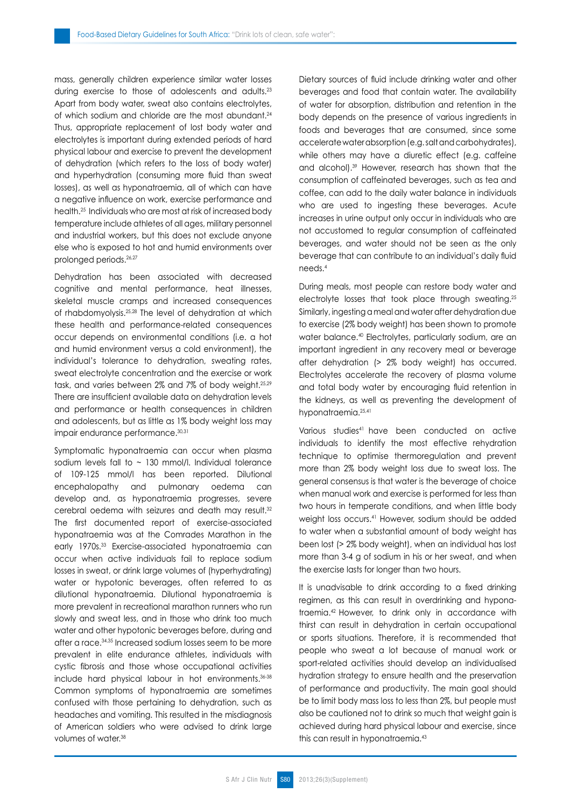mass, generally children experience similar water losses during exercise to those of adolescents and adults.23 Apart from body water, sweat also contains electrolytes, of which sodium and chloride are the most abundant.<sup>24</sup> Thus, appropriate replacement of lost body water and electrolytes is important during extended periods of hard physical labour and exercise to prevent the development of dehydration (which refers to the loss of body water) and hyperhydration (consuming more fluid than sweat losses), as well as hyponatraemia, all of which can have a negative influence on work, exercise performance and health.25 Individuals who are most at risk of increased body temperature include athletes of all ages, military personnel and industrial workers, but this does not exclude anyone else who is exposed to hot and humid environments over prolonged periods.<sup>26,27</sup>

Dehydration has been associated with decreased cognitive and mental performance, heat illnesses, skeletal muscle cramps and increased consequences of rhabdomyolysis.25,28 The level of dehydration at which these health and performance-related consequences occur depends on environmental conditions (i.e. a hot and humid environment versus a cold environment), the individual's tolerance to dehydration, sweating rates, sweat electrolyte concentration and the exercise or work task, and varies between 2% and 7% of body weight.25,29 There are insufficient available data on dehydration levels and performance or health consequences in children and adolescents, but as little as 1% body weight loss may impair endurance performance. 30,31

Symptomatic hyponatraemia can occur when plasma sodium levels fall to  $\sim$  130 mmol/l. Individual tolerance of 109-125 mmol/l has been reported. Dilutional encephalopathy and pulmonary oedema can develop and, as hyponatraemia progresses, severe cerebral oedema with seizures and death may result.32 The first documented report of exercise-associated hyponatraemia was at the Comrades Marathon in the early 1970s.33 Exercise-associated hyponatraemia can occur when active individuals fail to replace sodium losses in sweat, or drink large volumes of (hyperhydrating) water or hypotonic beverages, often referred to as dilutional hyponatraemia. Dilutional hyponatraemia is more prevalent in recreational marathon runners who run slowly and sweat less, and in those who drink too much water and other hypotonic beverages before, during and after a race.34,35 Increased sodium losses seem to be more prevalent in elite endurance athletes, individuals with cystic fibrosis and those whose occupational activities include hard physical labour in hot environments.36-38 Common symptoms of hyponatraemia are sometimes confused with those pertaining to dehydration, such as headaches and vomiting. This resulted in the misdiagnosis of American soldiers who were advised to drink large volumes of water.38

Dietary sources of fluid include drinking water and other beverages and food that contain water. The availability of water for absorption, distribution and retention in the body depends on the presence of various ingredients in foods and beverages that are consumed, since some accelerate water absorption (e.g. salt and carbohydrates), while others may have a diuretic effect (e.g. caffeine and alcohol).39 However, research has shown that the consumption of caffeinated beverages, such as tea and coffee, can add to the daily water balance in individuals who are used to ingesting these beverages. Acute increases in urine output only occur in individuals who are not accustomed to regular consumption of caffeinated beverages, and water should not be seen as the only beverage that can contribute to an individual's daily fluid needs.4

During meals, most people can restore body water and electrolyte losses that took place through sweating.25 Similarly, ingesting a meal and water after dehydration due to exercise (2% body weight) has been shown to promote water balance.40 Electrolytes, particularly sodium, are an important ingredient in any recovery meal or beverage after dehydration (> 2% body weight) has occurred. Electrolytes accelerate the recovery of plasma volume and total body water by encouraging fluid retention in the kidneys, as well as preventing the development of hyponatraemia.<sup>25,41</sup>

Various studies41 have been conducted on active individuals to identify the most effective rehydration technique to optimise thermoregulation and prevent more than 2% body weight loss due to sweat loss. The general consensus is that water is the beverage of choice when manual work and exercise is performed for less than two hours in temperate conditions, and when little body weight loss occurs.41 However, sodium should be added to water when a substantial amount of body weight has been lost (> 2% body weight), when an individual has lost more than 3-4 g of sodium in his or her sweat, and when the exercise lasts for longer than two hours.

It is unadvisable to drink according to a fixed drinking regimen, as this can result in overdrinking and hyponatraemia.42 However, to drink only in accordance with thirst can result in dehydration in certain occupational or sports situations. Therefore, it is recommended that people who sweat a lot because of manual work or sport-related activities should develop an individualised hydration strategy to ensure health and the preservation of performance and productivity. The main goal should be to limit body mass loss to less than 2%, but people must also be cautioned not to drink so much that weight gain is achieved during hard physical labour and exercise, since this can result in hyponatraemia.43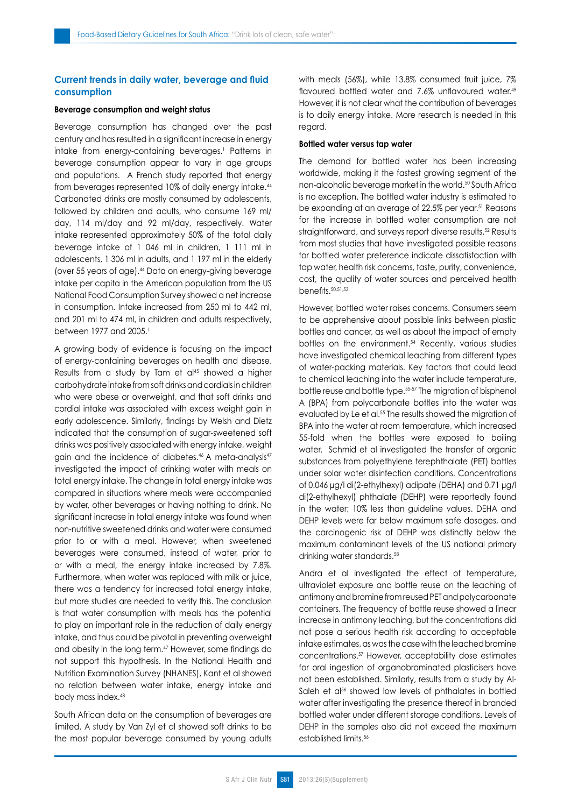# **Current trends in daily water, beverage and fluid consumption**

## **Beverage consumption and weight status**

Beverage consumption has changed over the past century and has resulted in a significant increase in energy intake from energy-containing beverages.1 Patterns in beverage consumption appear to vary in age groups and populations. A French study reported that energy from beverages represented 10% of daily energy intake.44 Carbonated drinks are mostly consumed by adolescents, followed by children and adults, who consume 169 ml/ day, 114 ml/day and 92 ml/day, respectively. Water intake represented approximately 50% of the total daily beverage intake of 1 046 ml in children, 1 111 ml in adolescents, 1 306 ml in adults, and 1 197 ml in the elderly (over 55 years of age).44 Data on energy-giving beverage intake per capita in the American population from the US National Food Consumption Survey showed a net increase in consumption. Intake increased from 250 ml to 442 ml, and 201 ml to 474 ml, in children and adults respectively, between 1977 and 2005.<sup>1</sup>

A growing body of evidence is focusing on the impact of energy-containing beverages on health and disease. Results from a study by Tam et al<sup>45</sup> showed a higher carbohydrate intake from soft drinks and cordials in children who were obese or overweight, and that soft drinks and cordial intake was associated with excess weight gain in early adolescence. Similarly, findings by Welsh and Dietz indicated that the consumption of sugar-sweetened soft drinks was positively associated with energy intake, weight gain and the incidence of diabetes.<sup>46</sup> A meta-analysis<sup>47</sup> investigated the impact of drinking water with meals on total energy intake. The change in total energy intake was compared in situations where meals were accompanied by water, other beverages or having nothing to drink. No significant increase in total energy intake was found when non-nutritive sweetened drinks and water were consumed prior to or with a meal. However, when sweetened beverages were consumed, instead of water, prior to or with a meal, the energy intake increased by 7.8%. Furthermore, when water was replaced with milk or juice, there was a tendency for increased total energy intake, but more studies are needed to verify this. The conclusion is that water consumption with meals has the potential to play an important role in the reduction of daily energy intake, and thus could be pivotal in preventing overweight and obesity in the long term.47 However, some findings do not support this hypothesis. In the National Health and Nutrition Examination Survey (NHANES), Kant et al showed no relation between water intake, energy intake and body mass index.48

South African data on the consumption of beverages are limited. A study by Van Zyl et al showed soft drinks to be the most popular beverage consumed by young adults with meals (56%), while 13.8% consumed fruit juice, 7% flavoured bottled water and 7.6% unflavoured water.<sup>49</sup> However, it is not clear what the contribution of beverages is to daily energy intake. More research is needed in this regard.

## **Bottled water versus tap water**

The demand for bottled water has been increasing worldwide, making it the fastest growing segment of the non-alcoholic beverage market in the world.<sup>50</sup> South Africa is no exception. The bottled water industry is estimated to be expanding at an average of 22.5% per year.51 Reasons for the increase in bottled water consumption are not straightforward, and surveys report diverse results.<sup>52</sup> Results from most studies that have investigated possible reasons for bottled water preference indicate dissatisfaction with tap water, health risk concerns, taste, purity, convenience, cost, the quality of water sources and perceived health benefits.50,51,53

However, bottled water raises concerns. Consumers seem to be apprehensive about possible links between plastic bottles and cancer, as well as about the impact of empty bottles on the environment.<sup>54</sup> Recently, various studies have investigated chemical leaching from different types of water-packing materials. Key factors that could lead to chemical leaching into the water include temperature, bottle reuse and bottle type.55-57 The migration of bisphenol A (BPA) from polycarbonate bottles into the water was evaluated by Le et al.<sup>55</sup> The results showed the migration of BPA into the water at room temperature, which increased 55-fold when the bottles were exposed to boiling water. Schmid et al investigated the transfer of organic substances from polyethylene terephthalate (PET) bottles under solar water disinfection conditions. Concentrations of 0.046 µg/l di(2-ethylhexyl) adipate (DEHA) and 0.71 µg/l di(2-ethylhexyl) phthalate (DEHP) were reportedly found in the water; 10% less than guideline values. DEHA and DEHP levels were far below maximum safe dosages, and the carcinogenic risk of DEHP was distinctly below the maximum contaminant levels of the US national primary drinking water standards.58

Andra et al investigated the effect of temperature, ultraviolet exposure and bottle reuse on the leaching of antimony and bromine from reused PET and polycarbonate containers. The frequency of bottle reuse showed a linear increase in antimony leaching, but the concentrations did not pose a serious health risk according to acceptable intake estimates, as was the case with the leached bromine concentrations.57 However, acceptability dose estimates for oral ingestion of organobrominated plasticisers have not been established. Similarly, results from a study by Al-Saleh et al<sup>56</sup> showed low levels of phthalates in bottled water after investigating the presence thereof in branded bottled water under different storage conditions. Levels of DEHP in the samples also did not exceed the maximum established limits.56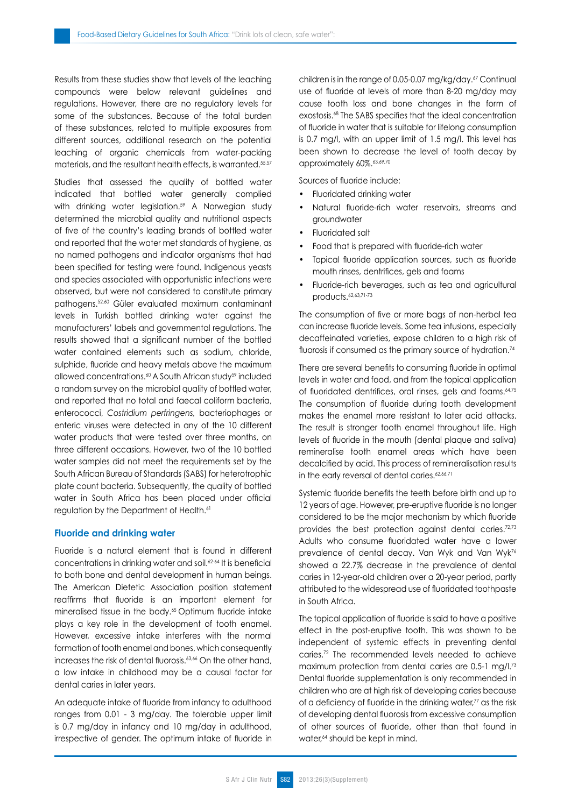Results from these studies show that levels of the leaching compounds were below relevant guidelines and regulations. However, there are no regulatory levels for some of the substances. Because of the total burden of these substances, related to multiple exposures from different sources, additional research on the potential leaching of organic chemicals from water-packing materials, and the resultant health effects, is warranted.<sup>55,57</sup>

Studies that assessed the quality of bottled water indicated that bottled water generally complied with drinking water legislation.<sup>59</sup> A Norwegian study determined the microbial quality and nutritional aspects of five of the country's leading brands of bottled water and reported that the water met standards of hygiene, as no named pathogens and indicator organisms that had been specified for testing were found. Indigenous yeasts and species associated with opportunistic infections were observed, but were not considered to constitute primary pathogens.52,60 Güler evaluated maximum contaminant levels in Turkish bottled drinking water against the manufacturers' labels and governmental regulations. The results showed that a significant number of the bottled water contained elements such as sodium, chloride, sulphide, fluoride and heavy metals above the maximum allowed concentrations.60 A South African study59 included a random survey on the microbial quality of bottled water, and reported that no total and faecal coliform bacteria, enterococci, *Costridium perfringens,* bacteriophages or enteric viruses were detected in any of the 10 different water products that were tested over three months, on three different occasions. However, two of the 10 bottled water samples did not meet the requirements set by the South African Bureau of Standards (SABS) for heterotrophic plate count bacteria. Subsequently, the quality of bottled water in South Africa has been placed under official regulation by the Department of Health.<sup>61</sup>

## **Fluoride and drinking water**

Fluoride is a natural element that is found in different concentrations in drinking water and soil.62-64 It is beneficial to both bone and dental development in human beings. The American Dietetic Association position statement reaffirms that fluoride is an important element for mineralised tissue in the body.<sup>65</sup> Optimum fluoride intake plays a key role in the development of tooth enamel. However, excessive intake interferes with the normal formation of tooth enamel and bones, which consequently increases the risk of dental fluorosis.<sup>63,66</sup> On the other hand, a low intake in childhood may be a causal factor for dental caries in later years.

An adequate intake of fluoride from infancy to adulthood ranges from 0.01 - 3 mg/day. The tolerable upper limit is 0.7 mg/day in infancy and 10 mg/day in adulthood, irrespective of gender. The optimum intake of fluoride in children is in the range of 0.05-0.07 mg/kg/day.67 Continual use of fluoride at levels of more than 8-20 mg/day may cause tooth loss and bone changes in the form of exostosis.68 The SABS specifies that the ideal concentration of fluoride in water that is suitable for lifelong consumption is 0.7 mg/l, with an upper limit of 1.5 mg/l. This level has been shown to decrease the level of tooth decay by approximately 60%.63,69,70

Sources of fluoride include:

- Fluoridated drinking water
- Natural fluoride-rich water reservoirs, streams and groundwater
- Fluoridated salt
- Food that is prepared with fluoride-rich water
- Topical fluoride application sources, such as fluoride mouth rinses, dentrifices, gels and foams
- Fluoride-rich beverages, such as tea and agricultural products.62,63,71-73

The consumption of five or more bags of non-herbal tea can increase fluoride levels. Some tea infusions, especially decaffeinated varieties, expose children to a high risk of fluorosis if consumed as the primary source of hydration.<sup>74</sup>

There are several benefits to consuming fluoride in optimal levels in water and food, and from the topical application of fluoridated dentrifices, oral rinses, gels and foams.<sup>64,75</sup> The consumption of fluoride during tooth development makes the enamel more resistant to later acid attacks. The result is stronger tooth enamel throughout life. High levels of fluoride in the mouth (dental plaque and saliva) remineralise tooth enamel areas which have been decalcified by acid. This process of remineralisation results in the early reversal of dental caries.<sup>62,66,71</sup>

Systemic fluoride benefits the teeth before birth and up to 12 years of age. However, pre-eruptive fluoride is no longer considered to be the major mechanism by which fluoride provides the best protection against dental caries.72,73 Adults who consume fluoridated water have a lower prevalence of dental decay. Van Wyk and Van Wyk76 showed a 22.7% decrease in the prevalence of dental caries in 12-year-old children over a 20-year period, partly attributed to the widespread use of fluoridated toothpaste in South Africa.

The topical application of fluoride is said to have a positive effect in the post-eruptive tooth. This was shown to be independent of systemic effects in preventing dental caries.72 The recommended levels needed to achieve maximum protection from dental caries are 0.5-1 mg/l.<sup>73</sup> Dental fluoride supplementation is only recommended in children who are at high risk of developing caries because of a deficiency of fluoride in the drinking water,77 as the risk of developing dental fluorosis from excessive consumption of other sources of fluoride, other than that found in water,<sup>64</sup> should be kept in mind.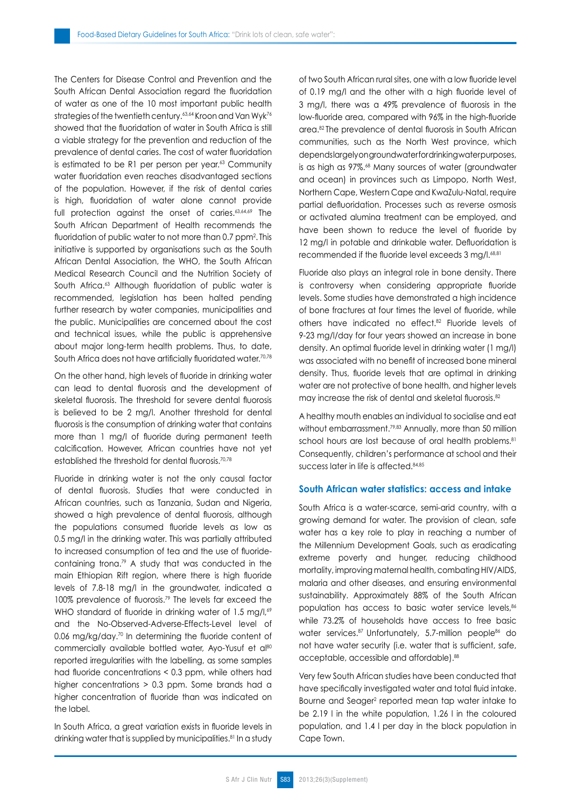The Centers for Disease Control and Prevention and the South African Dental Association regard the fluoridation of water as one of the 10 most important public health strategies of the twentieth century.<sup>63,64</sup> Kroon and Van Wyk<sup>76</sup> showed that the fluoridation of water in South Africa is still a viable strategy for the prevention and reduction of the prevalence of dental caries. The cost of water fluoridation is estimated to be R1 per person per year.<sup>63</sup> Community water fluoridation even reaches disadvantaged sections of the population. However, if the risk of dental caries is high, fluoridation of water alone cannot provide full protection against the onset of caries.<sup>63,64,69</sup> The South African Department of Health recommends the fluoridation of public water to not more than 0.7 ppm<sup>2</sup> . This initiative is supported by organisations such as the South African Dental Association, the WHO, the South African Medical Research Council and the Nutrition Society of South Africa.<sup>63</sup> Although fluoridation of public water is recommended, legislation has been halted pending further research by water companies, municipalities and the public. Municipalities are concerned about the cost and technical issues, while the public is apprehensive about major long-term health problems. Thus, to date, South Africa does not have artificially fluoridated water.<sup>70,78</sup>

On the other hand, high levels of fluoride in drinking water can lead to dental fluorosis and the development of skeletal fluorosis. The threshold for severe dental fluorosis is believed to be 2 mg/l. Another threshold for dental fluorosis is the consumption of drinking water that contains more than 1 mg/l of fluoride during permanent teeth calcification. However, African countries have not yet established the threshold for dental fluorosis.<sup>70,78</sup>

Fluoride in drinking water is not the only causal factor of dental fluorosis. Studies that were conducted in African countries, such as Tanzania, Sudan and Nigeria, showed a high prevalence of dental fluorosis, although the populations consumed fluoride levels as low as 0.5 mg/l in the drinking water. This was partially attributed to increased consumption of tea and the use of fluoridecontaining trona.79 A study that was conducted in the main Ethiopian Rift region, where there is high fluoride levels of 7.8-18 mg/l in the groundwater, indicated a 100% prevalence of fluorosis.79 The levels far exceed the WHO standard of fluoride in drinking water of 1.5 mg/l,<sup>69</sup> and the No-Observed-Adverse-Effects-Level level of 0.06 mg/kg/day.<sup>70</sup> In determining the fluoride content of commercially available bottled water. Ayo-Yusuf et al<sup>80</sup> reported irregularities with the labelling, as some samples had fluoride concentrations < 0.3 ppm, while others had higher concentrations > 0.3 ppm. Some brands had a higher concentration of fluoride than was indicated on the label.

In South Africa, a great variation exists in fluoride levels in drinking water that is supplied by municipalities.<sup>81</sup> In a study of two South African rural sites, one with a low fluoride level of 0.19 mg/l and the other with a high fluoride level of 3 mg/l, there was a 49% prevalence of fluorosis in the low-fluoride area, compared with 96% in the high-fluoride area.82 The prevalence of dental fluorosis in South African communities, such as the North West province, which depends largely on ground water for drinking water purposes, is as high as 97%.<sup>68</sup> Many sources of water (groundwater and ocean) in provinces such as Limpopo, North West, Northern Cape, Western Cape and KwaZulu-Natal, require partial defluoridation. Processes such as reverse osmosis or activated alumina treatment can be employed, and have been shown to reduce the level of fluoride by 12 mg/l in potable and drinkable water. Defluoridation is recommended if the fluoride level exceeds 3 mg/l.<sup>68,81</sup>

Fluoride also plays an integral role in bone density. There is controversy when considering appropriate fluoride levels. Some studies have demonstrated a high incidence of bone fractures at four times the level of fluoride, while others have indicated no effect.82 Fluoride levels of 9-23 mg/l/day for four years showed an increase in bone density. An optimal fluoride level in drinking water (1 mg/l) was associated with no benefit of increased bone mineral density. Thus, fluoride levels that are optimal in drinking water are not protective of bone health, and higher levels may increase the risk of dental and skeletal fluorosis.<sup>82</sup>

A healthy mouth enables an individual to socialise and eat without embarrassment.<sup>79,83</sup> Annually, more than 50 million school hours are lost because of oral health problems.<sup>81</sup> Consequently, children's performance at school and their success later in life is affected.84,85

# **South African water statistics: access and intake**

South Africa is a water-scarce, semi-arid country, with a growing demand for water. The provision of clean, safe water has a key role to play in reaching a number of the Millennium Development Goals, such as eradicating extreme poverty and hunger, reducing childhood mortality, improving maternal health, combating HIV/AIDS, malaria and other diseases, and ensuring environmental sustainability. Approximately 88% of the South African population has access to basic water service levels, 86 while 73.2% of households have access to free basic water services.<sup>87</sup> Unfortunately, 5.7-million people<sup>86</sup> do not have water security (i.e. water that is sufficient, safe, acceptable, accessible and affordable).88

Very few South African studies have been conducted that have specifically investigated water and total fluid intake. Bourne and Seager<sup>2</sup> reported mean tap water intake to be 2.19 l in the white population, 1.26 l in the coloured population, and 1.4 l per day in the black population in Cape Town.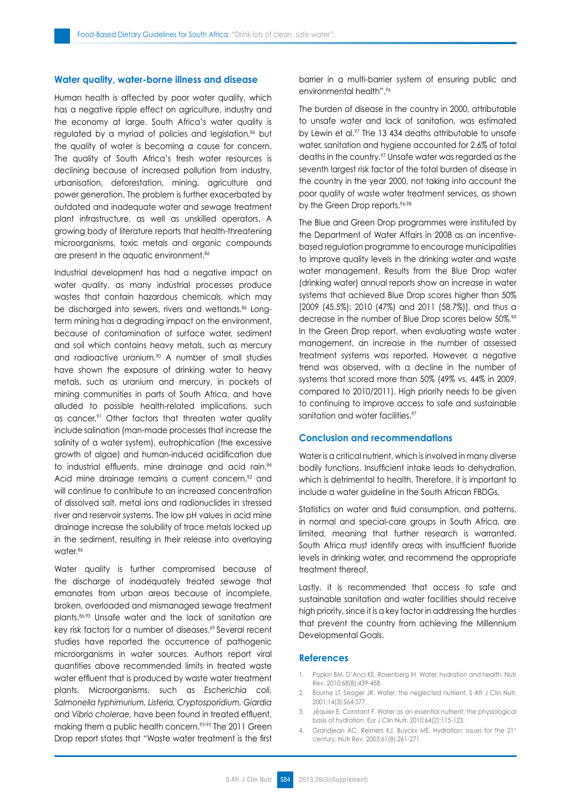## **Water quality, water-borne illness and disease**

Human health is affected by poor water quality, which has a negative ripple effect on agriculture, industry and the economy at large. South Africa's water quality is regulated by a myriad of policies and legislation,<sup>86</sup> but the quality of water is becoming a cause for concern. The quality of South Africa's fresh water resources is declining because of increased pollution from industry, urbanisation, deforestation, mining, agriculture and power generation. The problem is further exacerbated by outdated and inadequate water and sewage treatment plant infrastructure, as well as unskilled operators. A growing body of literature reports that health-threatening microorganisms, toxic metals and organic compounds are present in the aquatic environment.<sup>86</sup>

Industrial development has had a negative impact on water quality, as many industrial processes produce wastes that contain hazardous chemicals, which may be discharged into sewers, rivers and wetlands.<sup>86</sup> Longterm mining has a degrading impact on the environment, because of contamination of surface water, sediment and soil which contains heavy metals, such as mercury and radioactive uranium.<sup>90</sup> A number of small studies have shown the exposure of drinking water to heavy metals, such as uranium and mercury, in pockets of mining communities in parts of South Africa, and have alluded to possible health-related implications, such as cancer.<sup>91</sup> Other factors that threaten water quality include salination (man-made processes that increase the salinity of a water system), eutrophication (the excessive growth of algae) and human-induced acidification due to industrial effluents, mine drainage and acid rain.<sup>86</sup> Acid mine drainage remains a current concern,<sup>92</sup> and will continue to contribute to an increased concentration of dissolved salt, metal ions and radionuclides in stressed river and reservoir systems. The low pH values in acid mine drainage increase the solubility of trace metals locked up in the sediment, resulting in their release into overlaying water<sup>86</sup>

Water quality is further compromised because of the discharge of inadequately treated sewage that emanates from urban areas because of incomplete, broken, overloaded and mismanaged sewage treatment plants.86,93 Unsafe water and the lack of sanitation are key risk factors for a number of diseases.<sup>69</sup> Several recent studies have reported the occurrence of pathogenic microorganisms in water sources. Authors report viral quantities above recommended limits in treated waste water effluent that is produced by waste water treatment plants. Microorganisms, such as *Escherichia coli, Salmonella typhimurium, Listeria, Cryptosporidium, Giardia* and *Vibrio cholerae,* have been found in treated effluent, making them a public health concern.93-95 The 2011 Green Drop report states that "Waste water treatment is the first barrier in a multi-barrier system of ensuring public and environmental health".<sup>96</sup>

The burden of disease in the country in 2000, attributable to unsafe water and lack of sanitation, was estimated by Lewin et al.<sup>97</sup> The 13 434 deaths attributable to unsafe water, sanitation and hygiene accounted for 2.6% of total deaths in the country.<sup>97</sup> Unsafe water was regarded as the seventh largest risk factor of the total burden of disease in the country in the year 2000, not taking into account the poor quality of waste water treatment services, as shown by the Green Drop reports.<sup>96,98</sup>

The Blue and Green Drop programmes were instituted by the Department of Water Affairs in 2008 as an incentivebased regulation programme to encourage municipalities to improve quality levels in the drinking water and waste water management. Results from the Blue Drop water (drinking water) annual reports show an increase in water systems that achieved Blue Drop scores higher than 50% [2009 (45.5%); 2010 (47%) and 2011 (58.7%)], and thus a decrease in the number of Blue Drop scores below 50%.<sup>99</sup> In the Green Drop report, when evaluating waste water management, an increase in the number of assessed treatment systems was reported. However, a negative trend was observed, with a decline in the number of systems that scored more than 50% (49% vs. 44% in 2009, compared to 2010/2011). High priority needs to be given to continuing to improve access to safe and sustainable sanitation and water facilities.<sup>97</sup>

# **Conclusion and recommendations**

Water is a critical nutrient, which is involved in many diverse bodily functions. Insufficient intake leads to dehydration, which is detrimental to health. Therefore, it is important to include a water guideline in the South African FBDGs.

Statistics on water and fluid consumption, and patterns, in normal and special-care groups in South Africa, are limited, meaning that further research is warranted. South Africa must identify areas with insufficient fluoride levels in drinking water, and recommend the appropriate treatment thereof.

Lastly, it is recommended that access to safe and sustainable sanitation and water facilities should receive high priority, since it is a key factor in addressing the hurdles that prevent the country from achieving the Millennium Developmental Goals.

#### **References**

- 1. Popkin BM, D'Anci KE, Rosenberg IH. Water, hydration and health. Nutr Rev. 2010;68(8):439-458.
- 2. Bourne LT, Seager JR. Water: the neglected nutrient. S Afr J Clin Nutr. 2001;14(3):S64-S77.
- 3. Jéquier E, Constant F. Water as an essential nutrient: the physiological basis of hydration. Eur J Clin Nutr. 2010;64(2):115-123.
- 4. Grandjean AC, Reimers KJ, Buyckx ME. Hydration: issues for the 21st century. Nutr Rev. 2003;61(8):261-271.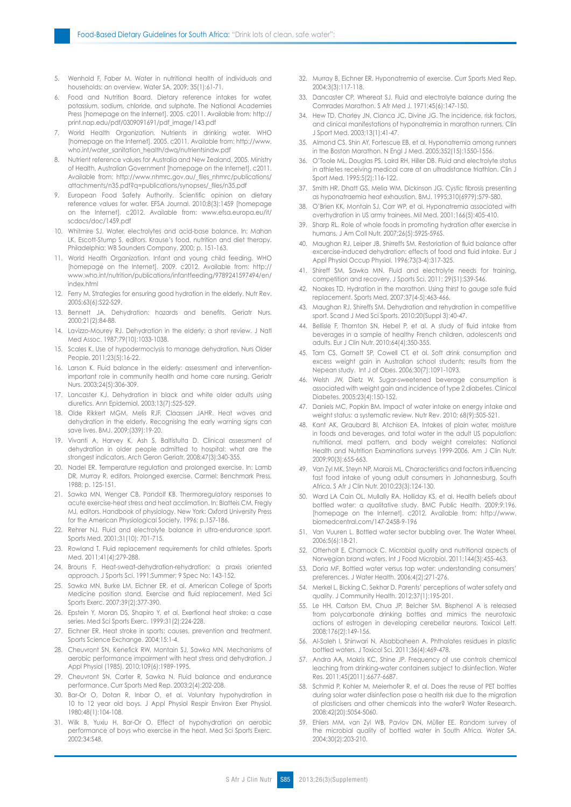- 5. Wenhold F, Faber M. Water in nutritional health of individuals and households: an overview. Water SA. 2009; 35(1):61-71.
- 6. Food and Nutrition Board. Dietary reference intakes for water, potassium, sodium, chloride, and sulphate. The National Academies Press [homepage on the Internet]. 2005. c2011. Available from: http:// print.nap.edu/pdf/0309091691/pdf\_image/143.pdf
- 7. World Health Organization. Nutrients in drinking water. WHO [homepage on the Internet]. 2005. c2011. Available from: http://www. who.int/water\_sanitation\_health/dwq/nutrientsindw.pdf
- 8. Nutrient reference values for Australia and New Zealand, 2005. Ministry of Health, Australian Government [homepage on the Internet]. c2011. Available from: http://www.nhmrc.gov.au/\_files\_nhmrc/publications/ attachments/n35.pdf?q=publications/synopses/\_files/n35.pdf
- 9. European Food Safety Authority. Scientific opinion on dietary reference values for water. EFSA Journal. 2010;8(3):1459 [homepage on the Internet]. c2012. Available from: www.efsa.europa.eu/it/ scdocs/doc/1459.pdf
- 10. Whitmire SJ. Water, electrolytes and acid-base balance. In: Mahan LK, Escott-Stump S, editors. Krause's food, nutrition and diet therapy. Philadelphia: WB Saunders Company, 2000; p. 151-163.
- 11. World Health Organization. Infant and young child feeding. WHO [homepage on the Internet]. 2009. c2012. Available from: http:// www.who.int/nutrition/publications/infantfeeding/9789241597494/en/ index.html
- 12. Ferry M. Strategies for ensuring good hydration in the elderly. Nutr Rev. 2005;63(6):S22-S29.
- 13. Bennett JA. Dehydration: hazards and benefits. Geriatr Nurs. 2000;21(2):84-88.
- 14. Lavizzo-Mourey RJ. Dehydration in the elderly: a short review. J Natl Med Assoc. 1987;79(10):1033-1038.
- 15. Scales K. Use of hypodermoclysis to manage dehydration. Nurs Older People. 2011;23(5):16-22.
- 16. Larson K. Fluid balance in the elderly: assessment and interventionimportant role in community health and home care nursing. Geriatr Nurs. 2003;24(5):306-309.
- 17. Lancaster KJ. Dehydration in black and white older adults using diuretics. Ann Epidemiol. 2003;13(7):525-529.
- 18. Olde Rikkert MGM, Melis RJF, Claassen JAHR. Heat waves and dehydration in the elderly. Recognising the early warning signs can save lives. BMJ. 2009;(339):19-20.
- 19. Vivanti A, Harvey K, Ash S, Baltistulta D. Clinical assessment of dehydration in older people admitted to hospital: what are the strongest indicators. Arch Geron Geriatr. 2008;47(3):340-355.
- 20. Nadel ER. Temperature regulation and prolonged exercise. In: Lamb DR, Murray R, editors. Prolonged exercise. Carmel: Benchmark Press, 1988; p. 125-151.
- 21. Sawka MN, Wenger CB, Pandolf KB. Thermoregulatory responses to acute exercise-heat stress and heat acclimation. In: Blatteis CM, Fregly MJ, editors. Handbook of physiology. New York: Oxford University Press for the American Physiological Society, 1996; p.157-186.
- 22. Rehrer NJ. Fluid and electrolyte balance in ultra-endurance sport. Sports Med. 2001;31(10): 701-715.
- 23. Rowland T. Fluid replacement requirements for child athletes. Sports Med. 2011;41(4):279-288.
- 24. Brouns F. Heat-sweat-dehydration-rehydration: a praxis oriented approach. J Sports Sci. 1991;Summer; 9 Spec No: 143-152.
- 25. Sawka MN, Burke LM, Eichner ER, et al. American College of Sports Medicine position stand. Exercise and fluid replacement. Med Sci Sports Exerc. 2007;39(2):377-390.
- 26. Epstein Y, Moran DS, Shapiro Y, et al. Exertional heat stroke: a case series. Med Sci Sports Exerc. 1999;31(2):224-228.
- 27. Eichner ER. Heat stroke in sports: causes, prevention and treatment. Sports Science Exchange. 2004;15:1-4.
- 28. Cheuvront SN, Kenefick RW, Montain SJ, Sawka MN. Mechanisms of aerobic performance impairment with heat stress and dehydration. J Appl Physiol (1985). 2010;109(6):1989-1995.
- 29. Cheuvront SN, Carter R, Sawka N. Fluid balance and endurance performance. Curr Sports Med Rep. 2003;2(4):202-208.
- 30. Bar-Or O, Dotan R, Inbar O, et al. Voluntary hypohydration in 10 to 12 year old boys. J Appl Physiol Respir Environ Exer Physiol. 1980;48(1):104-108.
- 31. Wilk B, Yuxiu H, Bar-Or O. Effect of hypohydration on aerobic performance of boys who exercise in the heat. Med Sci Sports Exerc. 2002;34:S48.
- 32. Murray B, Eichner ER. Hyponatremia of exercise. Curr Sports Med Rep. 2004;3(3):117-118.
- 33. Dancaster CP, Whereat SJ. Fluid and electrolyte balance during the Comrades Marathon. S Afr Med J. 1971;45(6):147-150.
- 34. Hew TD, Chorley JN, Cianca JC, Divine JG. The incidence, risk factors, and clinical manifestations of hyponatremia in marathon runners. Clin J Sport Med. 2003;13(1):41-47.
- 35. Almond CS, Shin AY, Fortescue EB, et al. Hyponatremia among runners in the Boston Marathon. N Engl J Med. 2005;352(15):1550-1556.
- 36. O'Toole ML, Douglas PS, Laird RH, Hiller DB. Fluid and electrolyte status in athletes receiving medical care at an ultradistance triathlon. Clin J Sport Med. 1995;5(2):116-122.
- 37. Smith HR, Dhatt GS, Melia WM, Dickinson JG. Cystic fibrosis presenting as hyponatraemia heat exhaustion. BMJ. 1995;310(6979):579-580.
- 38. O'Brien KK, Montain SJ, Corr WP, et al. Hyponatremia associated with overhydration in US army trainees. Mil Med. 2001;166(5):405-410.
- 39. Sharp RL. Role of whole foods in promoting hydration after exercise in humans. J Am Coll Nutr. 2007;26(5):592S-596S.
- 40. Maughan RJ, Leiper JB, Shirreffs SM. Restoriation of fluid balance after excercise-induced dehydration: effects of food and fluid intake. Eur J Appl Physiol Occup Physiol. 1996;73(3-4):317-325.
- 41. Shireff SM, Sawka MN. Fluid and electrolyte needs for training, competition and recovery. J Sports Sci. 2011; 29(S1):S39-S46.
- 42. Noakes TD. Hydration in the marathon. Using thirst to gauge safe fluid replacement. Sports Med. 2007;37(4-5):463-466.
- 43. Maughan RJ, Shireffs SM. Dehydration and rehydration in competitive sport. Scand J Med Sci Sports. 2010;20(Suppl 3):40-47.
- 44. Bellisle F, Thornton SN, Hebel P, et al. A study of fluid intake from beverages in a sample of healthy French children, adolescents and adults. Eur J Clin Nutr. 2010;64(4):350-355.
- 45. Tam CS, Garnett SP, Cowell CT, et al. Soft drink consumption and excess weight gain in Australian school students: results from the Nepean study. Int J of Obes. 2006;30(7):1091-1093.
- 46. Welsh JW, Dietz W. Sugar-sweetened beverage consumption is associated with weight gain and incidence of type 2 diabetes. Clinical Diabetes. 2005;23(4):150-152.
- 47. Daniels MC, Popkin BM. Impact of water intake on energy intake and weight status: a systematic review. Nutr Rev. 2010; 68(9):505-521.
- 48. Kant AK, Graubard BI, Atchison EA. Intakes of plain water, moisture in foods and beverages, and total water in the adult US population: nutritional, meal pattern, and body weight correlates: National Health and Nutrition Examinations surveys 1999-2006. Am J Clin Nutr. 2009;90(3):655-663.
- 49. Van Zyl MK, Steyn NP, Marais ML. Characteristics and factors influencing fast food intake of young adult consumers in Johannesburg, South Africa. S Afr J Clin Nutr. 2010;23(3):124-130.
- 50. Ward LA Cain OL, Mullally RA, Holliday KS, et al. Health beliefs about bottled water: a qualitative study. BMC Public Health. 2009;9:196. [homepage on the Internet]. c2012. Available from: http://www. biomedcentral.com/147-2458-9-196
- 51. Van Vuuren L. Bottled water sector bubbling over. The Water Wheel. 2006;5(6):18-21.
- 52. Otterholt E, Charnock C. Microbial quality and nutritional aspects of Norwegian brand waters. Int J Food Microbiol. 2011;144(3):455-463.
- 53. Doria MF. Bottled water versus tap water: understanding consumers' preferences. J Water Health. 2006;4(2):271-276.
- 54. Merkel L, Bicking C, Sekhar D. Parents' perceptions of water safety and quality. J Community Health. 2012;37(1):195-201.
- 55. Le HH, Carlson EM, Chua JP, Belcher SM. Bisphenol A is released from polycarbonate drinking bottles and mimics the neurotoxic actions of estrogen in developing cerebellar neurons. Toxicol Lett. 2008;176(2):149-156.
- 56. Al-Saleh I, Shinwari N, Alsabbaheen A. Phthalates residues in plastic bottled waters. J Toxicol Sci. 2011;36(4):469-478.
- 57. Andra AA, Makris KC, Shine JP. Frequency of use controls chemical leaching from drinking-water containers subject to disinfection. Water Res. 2011;45(2011):6677-6687.
- 58. Schmid P, Kohler M, Meierhofer R, et al. Does the reuse of PET bottles during solar water disinfection pose a health risk due to the migration of plasticisers and other chemicals into the water? Water Research. 2008;42(20):5054-5060.
- 59. Ehlers MM, van Zyl WB, Pavlov DN, Müller EE. Random survey of the microbial quality of bottled water in South Africa. Water SA. 2004;30(2):203-210.